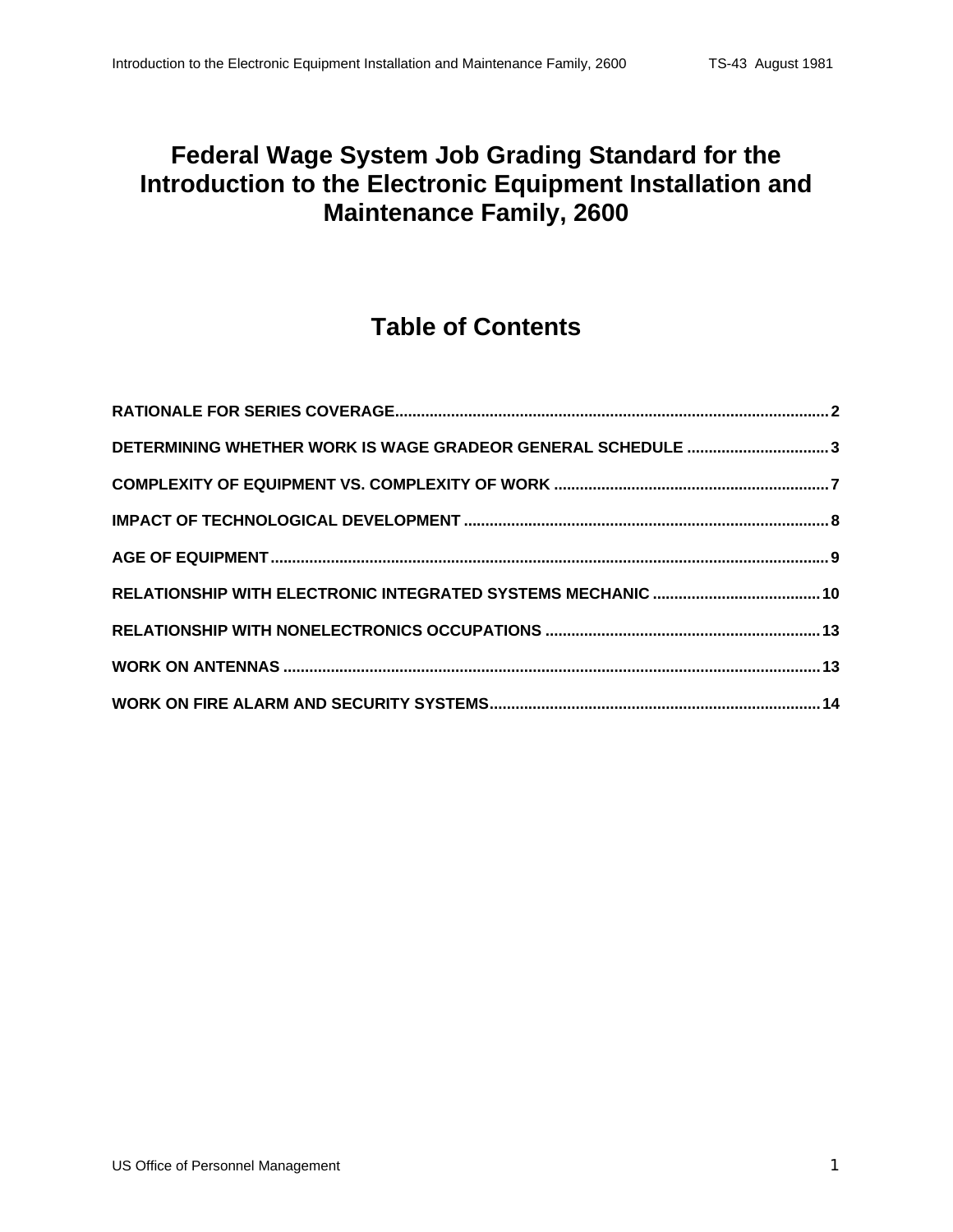#### **Federal Wage System Job Grading Standard for the Introduction to the Electronic Equipment Installation and Maintenance Family, 2600**

### **Table of Contents**

| DETERMINING WHETHER WORK IS WAGE GRADEOR GENERAL SCHEDULE 3 |  |
|-------------------------------------------------------------|--|
|                                                             |  |
|                                                             |  |
|                                                             |  |
|                                                             |  |
|                                                             |  |
|                                                             |  |
|                                                             |  |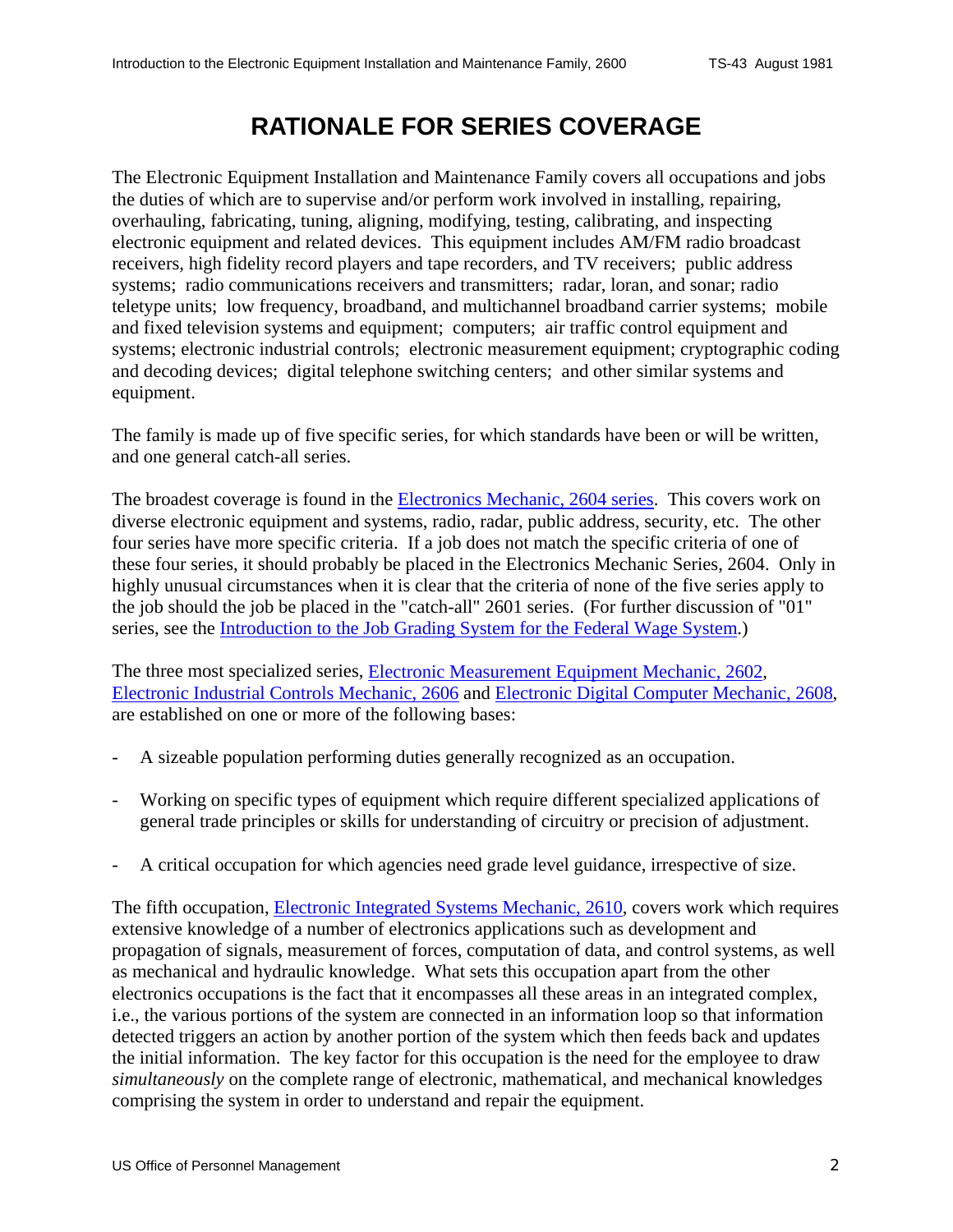# **RATIONALE FOR SERIES COVERAGE**

<span id="page-1-0"></span>The Electronic Equipment Installation and Maintenance Family covers all occupations and jobs the duties of which are to supervise and/or perform work involved in installing, repairing, overhauling, fabricating, tuning, aligning, modifying, testing, calibrating, and inspecting electronic equipment and related devices. This equipment includes AM/FM radio broadcast receivers, high fidelity record players and tape recorders, and TV receivers; public address systems; radio communications receivers and transmitters; radar, loran, and sonar; radio teletype units; low frequency, broadband, and multichannel broadband carrier systems; mobile and fixed television systems and equipment; computers; air traffic control equipment and systems; electronic industrial controls; electronic measurement equipment; cryptographic coding and decoding devices; digital telephone switching centers; and other similar systems and equipment.

The family is made up of five specific series, for which standards have been or will be written, and one general catch-all series.

The broadest coverage is found in the Electronics Mechanic, 2604 series. This covers work on diverse electronic equipment and systems, radio, radar, public address, security, etc. The other four series have more specific criteria. If a job does not match the specific criteria of one of these four series, it should probably be placed in the Electronics Mechanic Series, 2604. Only in highly unusual circumstances when it is clear that the criteria of none of the five series apply to the job should the job be placed in the "catch-all" 2601 series. (For further discussion of "01" series, see the Introduction to the Job Grading System for the Federal Wage System.)

The three most specialized series, Electronic Measurement Equipment Mechanic, 2602, Electronic Industrial Controls Mechanic, 2606 and Electronic Digital Computer Mechanic, 2608, are established on one or more of the following bases:

- A sizeable population performing duties generally recognized as an occupation.
- Working on specific types of equipment which require different specialized applications of general trade principles or skills for understanding of circuitry or precision of adjustment.
- A critical occupation for which agencies need grade level guidance, irrespective of size.

The fifth occupation, Electronic Integrated Systems Mechanic, 2610, covers work which requires extensive knowledge of a number of electronics applications such as development and propagation of signals, measurement of forces, computation of data, and control systems, as well as mechanical and hydraulic knowledge. What sets this occupation apart from the other electronics occupations is the fact that it encompasses all these areas in an integrated complex, i.e., the various portions of the system are connected in an information loop so that information detected triggers an action by another portion of the system which then feeds back and updates the initial information. The key factor for this occupation is the need for the employee to draw *simultaneously* on the complete range of electronic, mathematical, and mechanical knowledges comprising the system in order to understand and repair the equipment.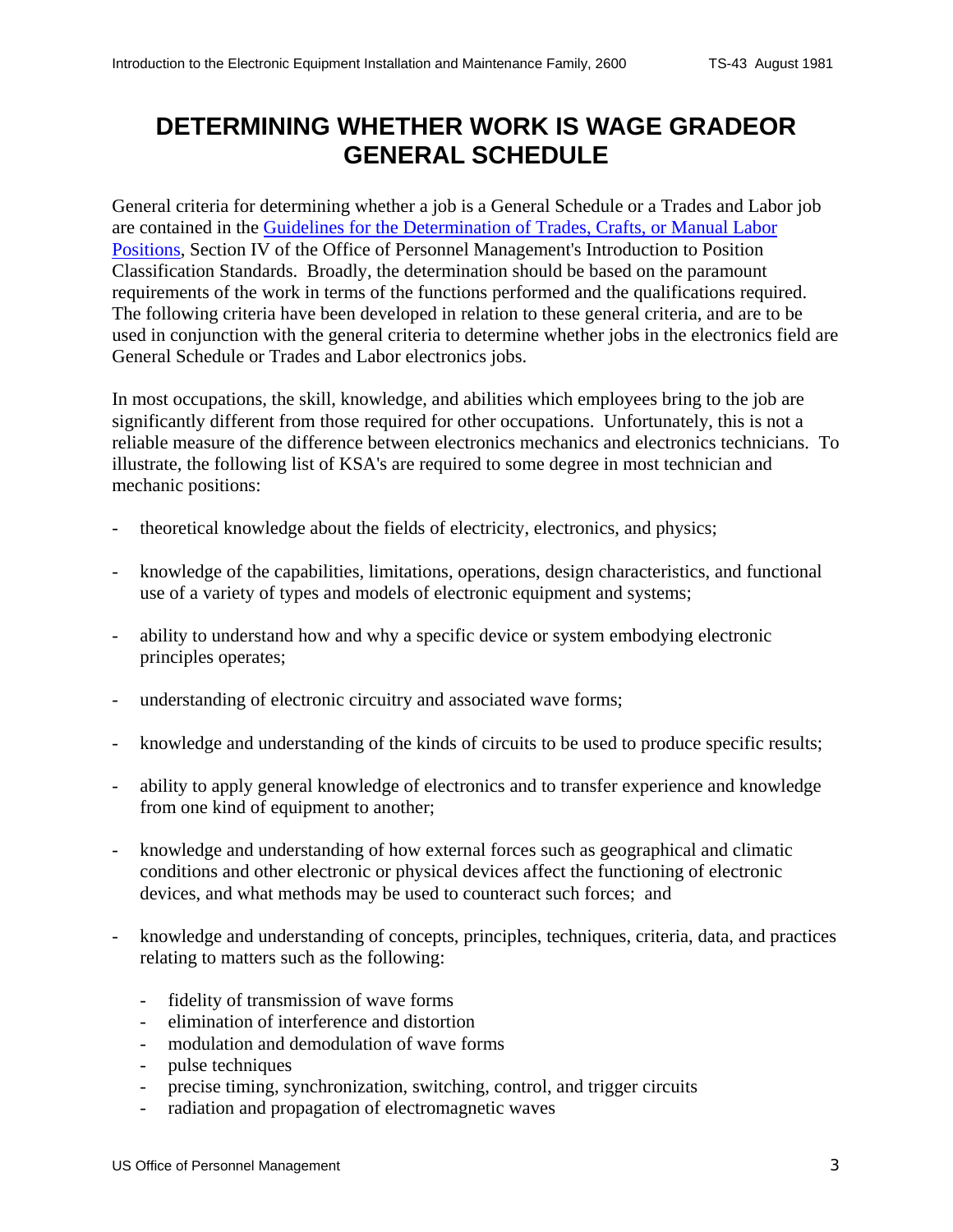### <span id="page-2-0"></span>**DETERMINING WHETHER WORK IS WAGE GRADEOR GENERAL SCHEDULE**

General criteria for determining whether a job is a General Schedule or a Trades and Labor job are contained in the Guidelines for the Determination of Trades, Crafts, or Manual Labor Positions, Section IV of the Office of Personnel Management's Introduction to Position Classification Standards. Broadly, the determination should be based on the paramount requirements of the work in terms of the functions performed and the qualifications required. The following criteria have been developed in relation to these general criteria, and are to be used in conjunction with the general criteria to determine whether jobs in the electronics field are General Schedule or Trades and Labor electronics jobs.

In most occupations, the skill, knowledge, and abilities which employees bring to the job are significantly different from those required for other occupations. Unfortunately, this is not a reliable measure of the difference between electronics mechanics and electronics technicians. To illustrate, the following list of KSA's are required to some degree in most technician and mechanic positions:

- theoretical knowledge about the fields of electricity, electronics, and physics;
- knowledge of the capabilities, limitations, operations, design characteristics, and functional use of a variety of types and models of electronic equipment and systems;
- ability to understand how and why a specific device or system embodying electronic principles operates;
- understanding of electronic circuitry and associated wave forms;
- knowledge and understanding of the kinds of circuits to be used to produce specific results;
- ability to apply general knowledge of electronics and to transfer experience and knowledge from one kind of equipment to another;
- knowledge and understanding of how external forces such as geographical and climatic conditions and other electronic or physical devices affect the functioning of electronic devices, and what methods may be used to counteract such forces; and
- knowledge and understanding of concepts, principles, techniques, criteria, data, and practices relating to matters such as the following:
	- fidelity of transmission of wave forms
	- elimination of interference and distortion
	- modulation and demodulation of wave forms
	- pulse techniques
	- precise timing, synchronization, switching, control, and trigger circuits
	- radiation and propagation of electromagnetic waves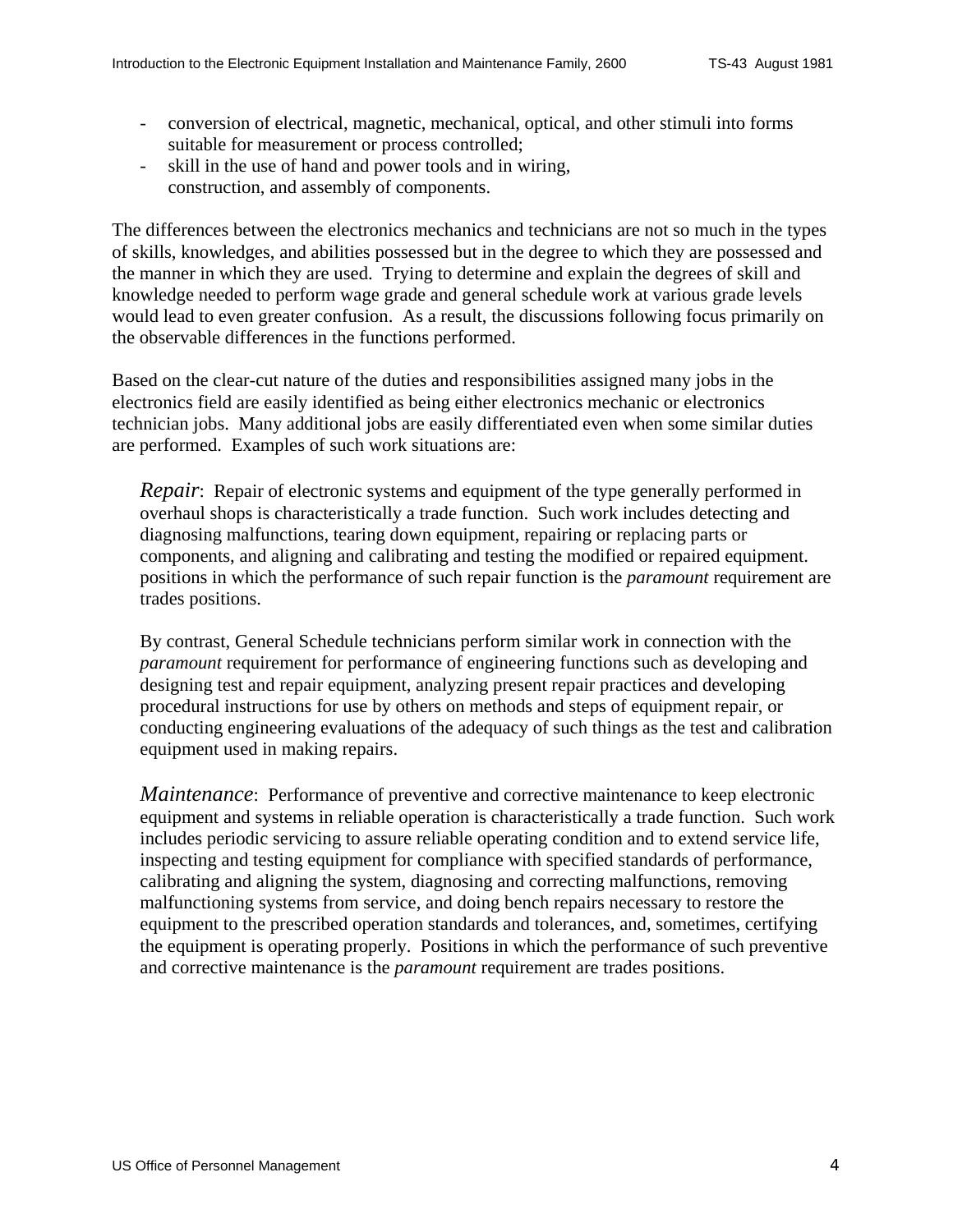- conversion of electrical, magnetic, mechanical, optical, and other stimuli into forms suitable for measurement or process controlled;
- skill in the use of hand and power tools and in wiring, construction, and assembly of components.

The differences between the electronics mechanics and technicians are not so much in the types of skills, knowledges, and abilities possessed but in the degree to which they are possessed and the manner in which they are used. Trying to determine and explain the degrees of skill and knowledge needed to perform wage grade and general schedule work at various grade levels would lead to even greater confusion. As a result, the discussions following focus primarily on the observable differences in the functions performed.

Based on the clear-cut nature of the duties and responsibilities assigned many jobs in the electronics field are easily identified as being either electronics mechanic or electronics technician jobs. Many additional jobs are easily differentiated even when some similar duties are performed. Examples of such work situations are:

*Repair*: Repair of electronic systems and equipment of the type generally performed in overhaul shops is characteristically a trade function. Such work includes detecting and diagnosing malfunctions, tearing down equipment, repairing or replacing parts or components, and aligning and calibrating and testing the modified or repaired equipment. positions in which the performance of such repair function is the *paramount* requirement are trades positions.

By contrast, General Schedule technicians perform similar work in connection with the *paramount* requirement for performance of engineering functions such as developing and designing test and repair equipment, analyzing present repair practices and developing procedural instructions for use by others on methods and steps of equipment repair, or conducting engineering evaluations of the adequacy of such things as the test and calibration equipment used in making repairs.

*Maintenance*: Performance of preventive and corrective maintenance to keep electronic equipment and systems in reliable operation is characteristically a trade function. Such work includes periodic servicing to assure reliable operating condition and to extend service life, inspecting and testing equipment for compliance with specified standards of performance, calibrating and aligning the system, diagnosing and correcting malfunctions, removing malfunctioning systems from service, and doing bench repairs necessary to restore the equipment to the prescribed operation standards and tolerances, and, sometimes, certifying the equipment is operating properly. Positions in which the performance of such preventive and corrective maintenance is the *paramount* requirement are trades positions.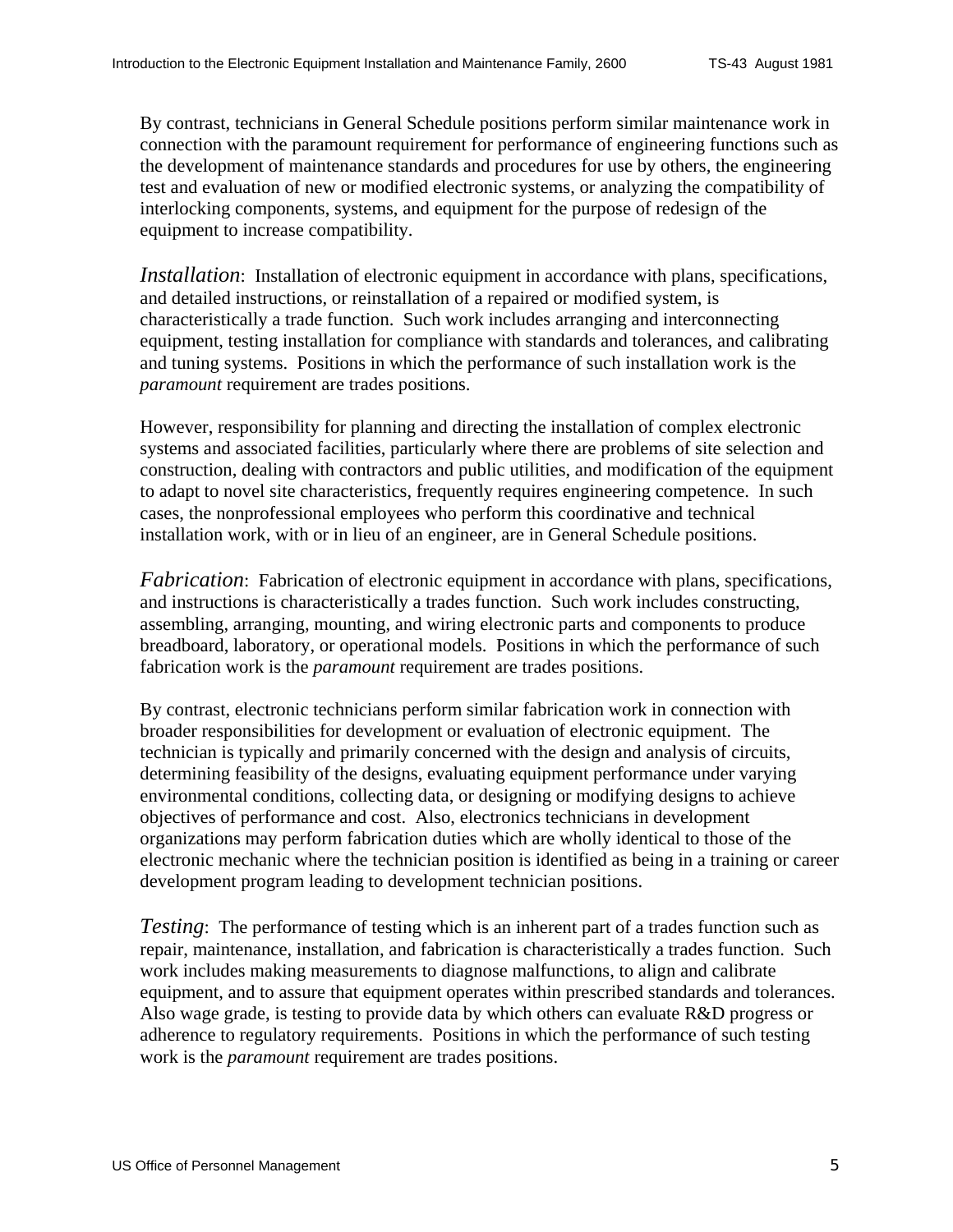By contrast, technicians in General Schedule positions perform similar maintenance work in connection with the paramount requirement for performance of engineering functions such as the development of maintenance standards and procedures for use by others, the engineering test and evaluation of new or modified electronic systems, or analyzing the compatibility of interlocking components, systems, and equipment for the purpose of redesign of the equipment to increase compatibility.

*Installation*: Installation of electronic equipment in accordance with plans, specifications, and detailed instructions, or reinstallation of a repaired or modified system, is characteristically a trade function. Such work includes arranging and interconnecting equipment, testing installation for compliance with standards and tolerances, and calibrating and tuning systems. Positions in which the performance of such installation work is the *paramount* requirement are trades positions.

However, responsibility for planning and directing the installation of complex electronic systems and associated facilities, particularly where there are problems of site selection and construction, dealing with contractors and public utilities, and modification of the equipment to adapt to novel site characteristics, frequently requires engineering competence. In such cases, the nonprofessional employees who perform this coordinative and technical installation work, with or in lieu of an engineer, are in General Schedule positions.

*Fabrication*: Fabrication of electronic equipment in accordance with plans, specifications, and instructions is characteristically a trades function. Such work includes constructing, assembling, arranging, mounting, and wiring electronic parts and components to produce breadboard, laboratory, or operational models. Positions in which the performance of such fabrication work is the *paramount* requirement are trades positions.

By contrast, electronic technicians perform similar fabrication work in connection with broader responsibilities for development or evaluation of electronic equipment. The technician is typically and primarily concerned with the design and analysis of circuits, determining feasibility of the designs, evaluating equipment performance under varying environmental conditions, collecting data, or designing or modifying designs to achieve objectives of performance and cost. Also, electronics technicians in development organizations may perform fabrication duties which are wholly identical to those of the electronic mechanic where the technician position is identified as being in a training or career development program leading to development technician positions.

 *Testing*: The performance of testing which is an inherent part of a trades function such as repair, maintenance, installation, and fabrication is characteristically a trades function. Such work includes making measurements to diagnose malfunctions, to align and calibrate equipment, and to assure that equipment operates within prescribed standards and tolerances. Also wage grade, is testing to provide data by which others can evaluate R&D progress or adherence to regulatory requirements. Positions in which the performance of such testing work is the *paramount* requirement are trades positions.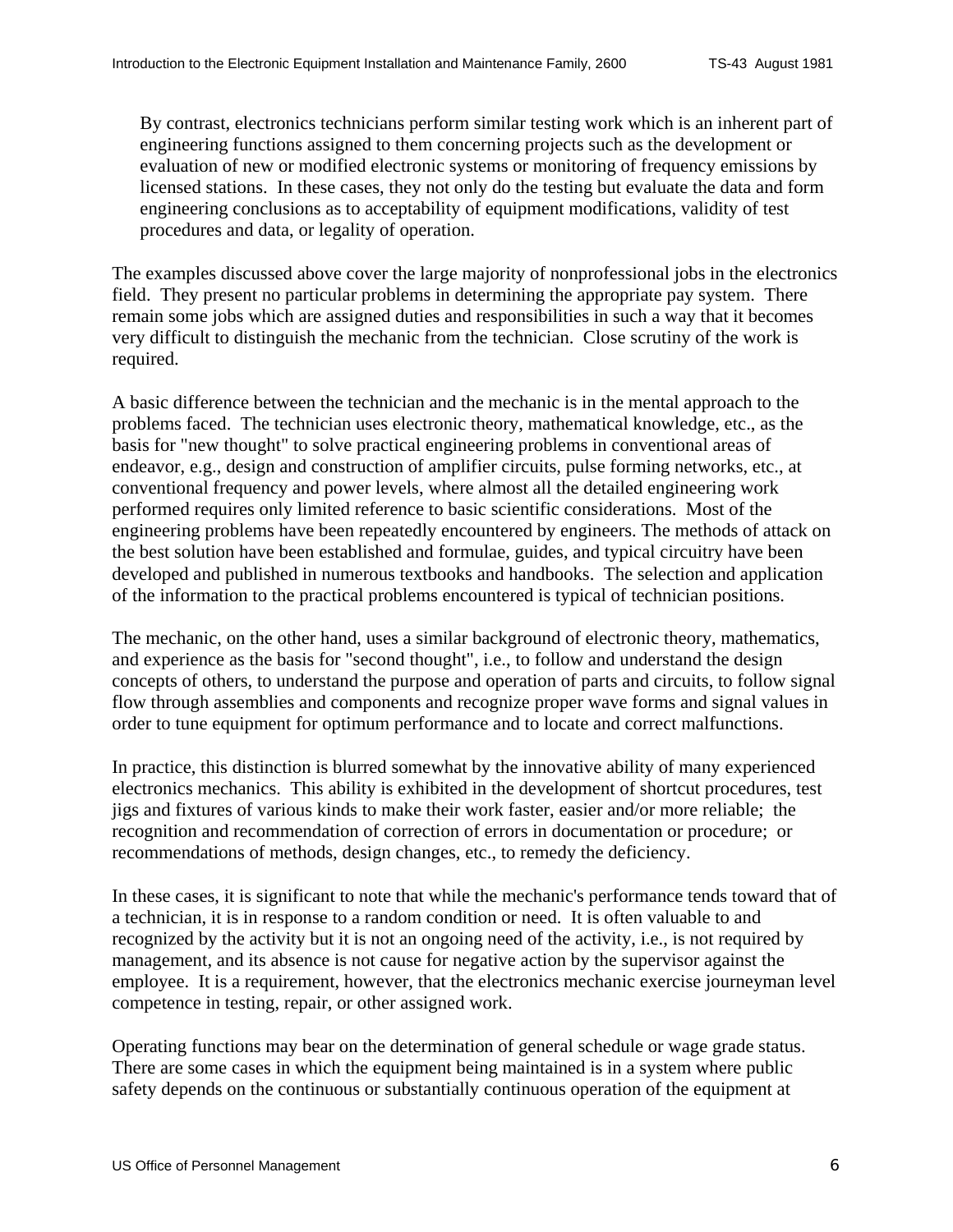By contrast, electronics technicians perform similar testing work which is an inherent part of engineering functions assigned to them concerning projects such as the development or evaluation of new or modified electronic systems or monitoring of frequency emissions by licensed stations. In these cases, they not only do the testing but evaluate the data and form engineering conclusions as to acceptability of equipment modifications, validity of test procedures and data, or legality of operation.

The examples discussed above cover the large majority of nonprofessional jobs in the electronics field. They present no particular problems in determining the appropriate pay system. There remain some jobs which are assigned duties and responsibilities in such a way that it becomes very difficult to distinguish the mechanic from the technician. Close scrutiny of the work is required.

A basic difference between the technician and the mechanic is in the mental approach to the problems faced. The technician uses electronic theory, mathematical knowledge, etc., as the basis for "new thought" to solve practical engineering problems in conventional areas of endeavor, e.g., design and construction of amplifier circuits, pulse forming networks, etc., at conventional frequency and power levels, where almost all the detailed engineering work performed requires only limited reference to basic scientific considerations. Most of the engineering problems have been repeatedly encountered by engineers. The methods of attack on the best solution have been established and formulae, guides, and typical circuitry have been developed and published in numerous textbooks and handbooks. The selection and application of the information to the practical problems encountered is typical of technician positions.

The mechanic, on the other hand, uses a similar background of electronic theory, mathematics, and experience as the basis for "second thought", i.e., to follow and understand the design concepts of others, to understand the purpose and operation of parts and circuits, to follow signal flow through assemblies and components and recognize proper wave forms and signal values in order to tune equipment for optimum performance and to locate and correct malfunctions.

In practice, this distinction is blurred somewhat by the innovative ability of many experienced electronics mechanics. This ability is exhibited in the development of shortcut procedures, test jigs and fixtures of various kinds to make their work faster, easier and/or more reliable; the recognition and recommendation of correction of errors in documentation or procedure; or recommendations of methods, design changes, etc., to remedy the deficiency.

In these cases, it is significant to note that while the mechanic's performance tends toward that of a technician, it is in response to a random condition or need. It is often valuable to and recognized by the activity but it is not an ongoing need of the activity, i.e., is not required by management, and its absence is not cause for negative action by the supervisor against the employee. It is a requirement, however, that the electronics mechanic exercise journeyman level competence in testing, repair, or other assigned work.

Operating functions may bear on the determination of general schedule or wage grade status. There are some cases in which the equipment being maintained is in a system where public safety depends on the continuous or substantially continuous operation of the equipment at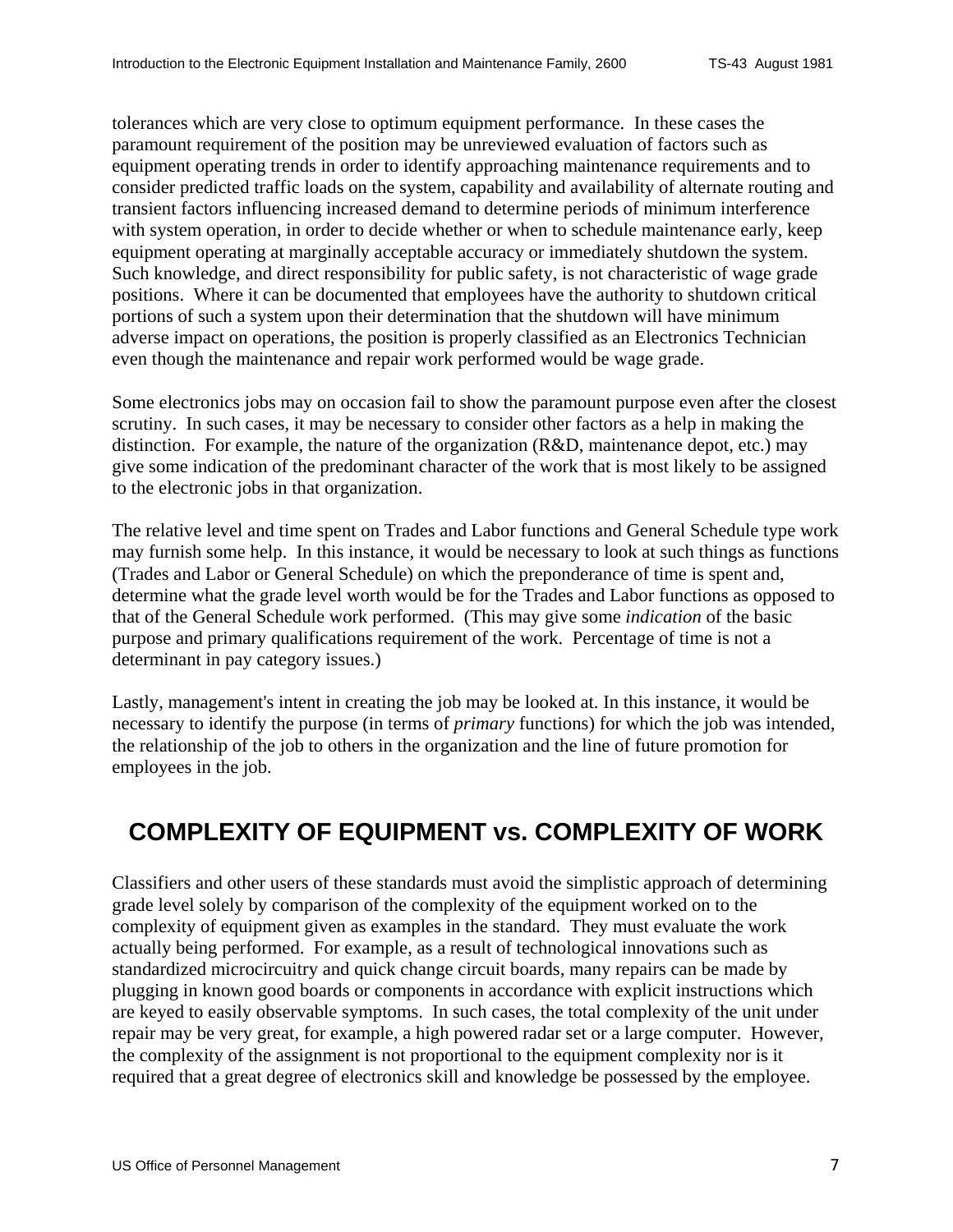<span id="page-6-0"></span>tolerances which are very close to optimum equipment performance. In these cases the paramount requirement of the position may be unreviewed evaluation of factors such as equipment operating trends in order to identify approaching maintenance requirements and to consider predicted traffic loads on the system, capability and availability of alternate routing and transient factors influencing increased demand to determine periods of minimum interference with system operation, in order to decide whether or when to schedule maintenance early, keep equipment operating at marginally acceptable accuracy or immediately shutdown the system. Such knowledge, and direct responsibility for public safety, is not characteristic of wage grade positions. Where it can be documented that employees have the authority to shutdown critical portions of such a system upon their determination that the shutdown will have minimum adverse impact on operations, the position is properly classified as an Electronics Technician even though the maintenance and repair work performed would be wage grade.

Some electronics jobs may on occasion fail to show the paramount purpose even after the closest scrutiny. In such cases, it may be necessary to consider other factors as a help in making the distinction. For example, the nature of the organization (R&D, maintenance depot, etc.) may give some indication of the predominant character of the work that is most likely to be assigned to the electronic jobs in that organization.

The relative level and time spent on Trades and Labor functions and General Schedule type work may furnish some help. In this instance, it would be necessary to look at such things as functions (Trades and Labor or General Schedule) on which the preponderance of time is spent and, determine what the grade level worth would be for the Trades and Labor functions as opposed to that of the General Schedule work performed. (This may give some *indication* of the basic purpose and primary qualifications requirement of the work. Percentage of time is not a determinant in pay category issues.)

Lastly, management's intent in creating the job may be looked at. In this instance, it would be necessary to identify the purpose (in terms of *primary* functions) for which the job was intended, the relationship of the job to others in the organization and the line of future promotion for employees in the job.

#### **COMPLEXITY OF EQUIPMENT vs. COMPLEXITY OF WORK**

Classifiers and other users of these standards must avoid the simplistic approach of determining grade level solely by comparison of the complexity of the equipment worked on to the complexity of equipment given as examples in the standard. They must evaluate the work actually being performed. For example, as a result of technological innovations such as standardized microcircuitry and quick change circuit boards, many repairs can be made by plugging in known good boards or components in accordance with explicit instructions which are keyed to easily observable symptoms. In such cases, the total complexity of the unit under repair may be very great, for example, a high powered radar set or a large computer. However, the complexity of the assignment is not proportional to the equipment complexity nor is it required that a great degree of electronics skill and knowledge be possessed by the employee.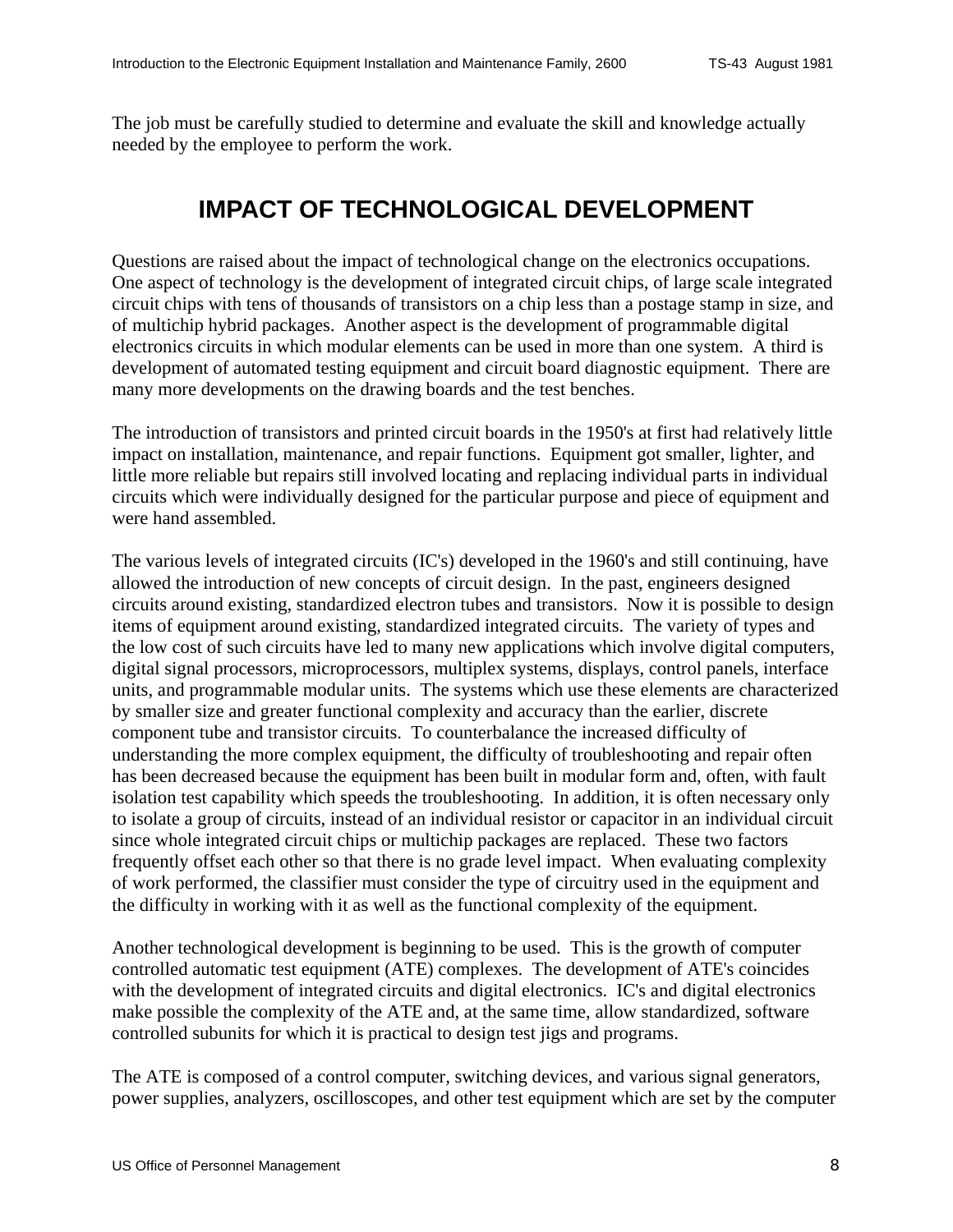<span id="page-7-0"></span>The job must be carefully studied to determine and evaluate the skill and knowledge actually needed by the employee to perform the work.

### **IMPACT OF TECHNOLOGICAL DEVELOPMENT**

Questions are raised about the impact of technological change on the electronics occupations. One aspect of technology is the development of integrated circuit chips, of large scale integrated circuit chips with tens of thousands of transistors on a chip less than a postage stamp in size, and of multichip hybrid packages. Another aspect is the development of programmable digital electronics circuits in which modular elements can be used in more than one system. A third is development of automated testing equipment and circuit board diagnostic equipment. There are many more developments on the drawing boards and the test benches.

The introduction of transistors and printed circuit boards in the 1950's at first had relatively little impact on installation, maintenance, and repair functions. Equipment got smaller, lighter, and little more reliable but repairs still involved locating and replacing individual parts in individual circuits which were individually designed for the particular purpose and piece of equipment and were hand assembled.

The various levels of integrated circuits (IC's) developed in the 1960's and still continuing, have allowed the introduction of new concepts of circuit design. In the past, engineers designed circuits around existing, standardized electron tubes and transistors. Now it is possible to design items of equipment around existing, standardized integrated circuits. The variety of types and the low cost of such circuits have led to many new applications which involve digital computers, digital signal processors, microprocessors, multiplex systems, displays, control panels, interface units, and programmable modular units. The systems which use these elements are characterized by smaller size and greater functional complexity and accuracy than the earlier, discrete component tube and transistor circuits. To counterbalance the increased difficulty of understanding the more complex equipment, the difficulty of troubleshooting and repair often has been decreased because the equipment has been built in modular form and, often, with fault isolation test capability which speeds the troubleshooting. In addition, it is often necessary only to isolate a group of circuits, instead of an individual resistor or capacitor in an individual circuit since whole integrated circuit chips or multichip packages are replaced. These two factors frequently offset each other so that there is no grade level impact. When evaluating complexity of work performed, the classifier must consider the type of circuitry used in the equipment and the difficulty in working with it as well as the functional complexity of the equipment.

Another technological development is beginning to be used. This is the growth of computer controlled automatic test equipment (ATE) complexes. The development of ATE's coincides with the development of integrated circuits and digital electronics. IC's and digital electronics make possible the complexity of the ATE and, at the same time, allow standardized, software controlled subunits for which it is practical to design test jigs and programs.

The ATE is composed of a control computer, switching devices, and various signal generators, power supplies, analyzers, oscilloscopes, and other test equipment which are set by the computer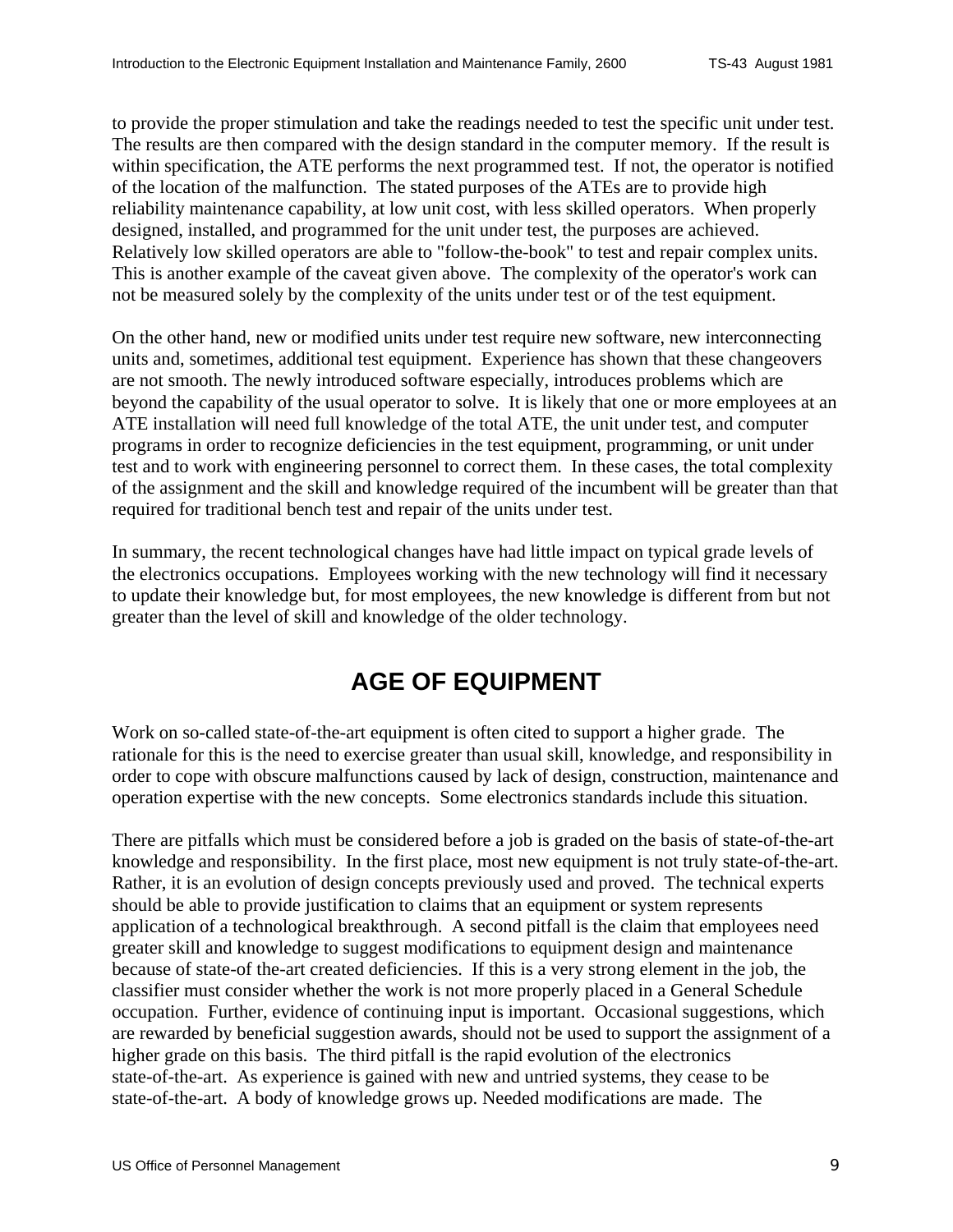<span id="page-8-0"></span>to provide the proper stimulation and take the readings needed to test the specific unit under test. The results are then compared with the design standard in the computer memory. If the result is within specification, the ATE performs the next programmed test. If not, the operator is notified of the location of the malfunction. The stated purposes of the ATEs are to provide high reliability maintenance capability, at low unit cost, with less skilled operators. When properly designed, installed, and programmed for the unit under test, the purposes are achieved. Relatively low skilled operators are able to "follow-the-book" to test and repair complex units. This is another example of the caveat given above. The complexity of the operator's work can not be measured solely by the complexity of the units under test or of the test equipment.

On the other hand, new or modified units under test require new software, new interconnecting units and, sometimes, additional test equipment. Experience has shown that these changeovers are not smooth. The newly introduced software especially, introduces problems which are beyond the capability of the usual operator to solve. It is likely that one or more employees at an ATE installation will need full knowledge of the total ATE, the unit under test, and computer programs in order to recognize deficiencies in the test equipment, programming, or unit under test and to work with engineering personnel to correct them. In these cases, the total complexity of the assignment and the skill and knowledge required of the incumbent will be greater than that required for traditional bench test and repair of the units under test.

In summary, the recent technological changes have had little impact on typical grade levels of the electronics occupations. Employees working with the new technology will find it necessary to update their knowledge but, for most employees, the new knowledge is different from but not greater than the level of skill and knowledge of the older technology.

# **AGE OF EQUIPMENT**

Work on so-called state-of-the-art equipment is often cited to support a higher grade. The rationale for this is the need to exercise greater than usual skill, knowledge, and responsibility in order to cope with obscure malfunctions caused by lack of design, construction, maintenance and operation expertise with the new concepts. Some electronics standards include this situation.

There are pitfalls which must be considered before a job is graded on the basis of state-of-the-art knowledge and responsibility. In the first place, most new equipment is not truly state-of-the-art. Rather, it is an evolution of design concepts previously used and proved. The technical experts should be able to provide justification to claims that an equipment or system represents application of a technological breakthrough. A second pitfall is the claim that employees need greater skill and knowledge to suggest modifications to equipment design and maintenance because of state-of the-art created deficiencies. If this is a very strong element in the job, the classifier must consider whether the work is not more properly placed in a General Schedule occupation. Further, evidence of continuing input is important. Occasional suggestions, which are rewarded by beneficial suggestion awards, should not be used to support the assignment of a higher grade on this basis. The third pitfall is the rapid evolution of the electronics state-of-the-art. As experience is gained with new and untried systems, they cease to be state-of-the-art. A body of knowledge grows up. Needed modifications are made. The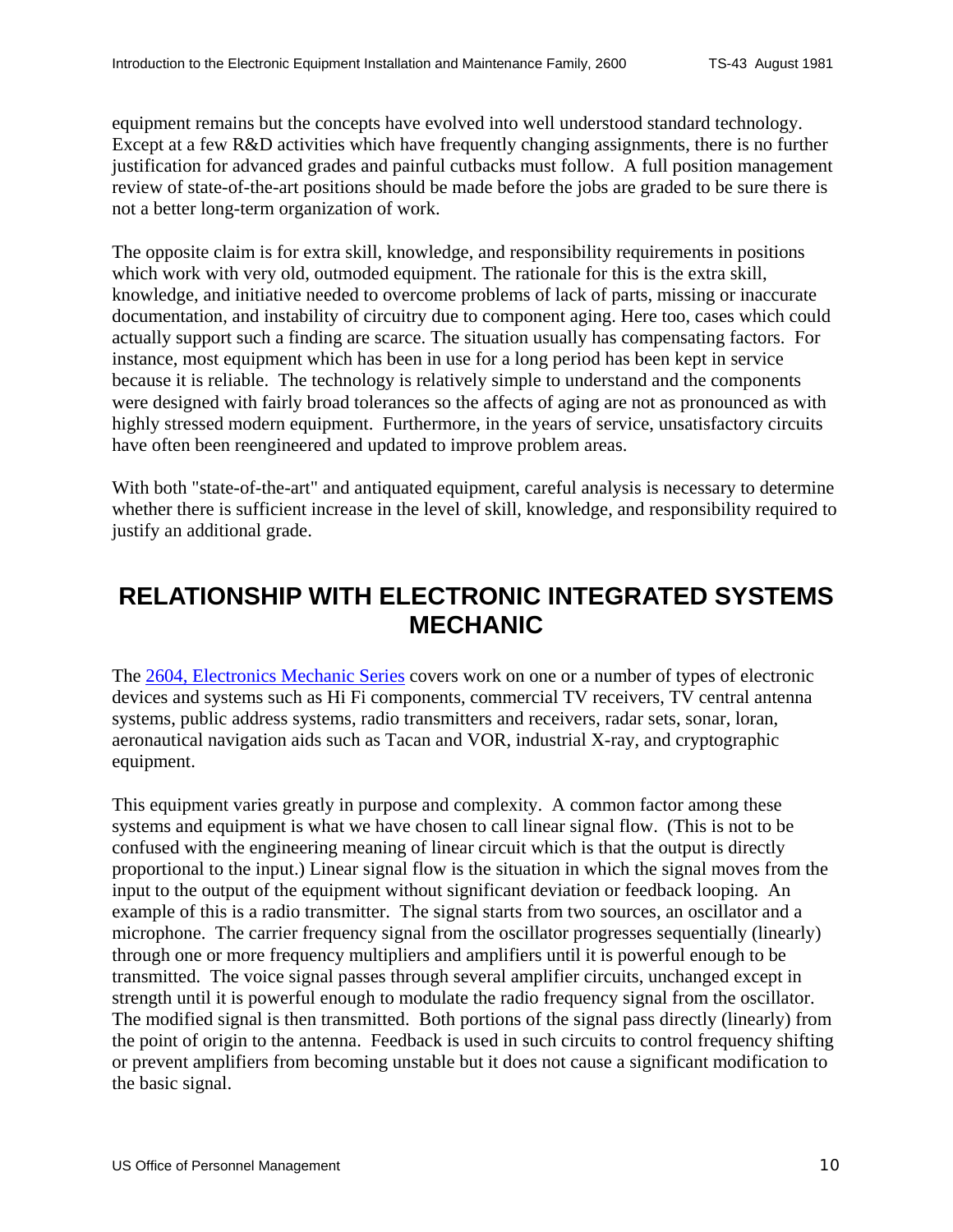<span id="page-9-0"></span>equipment remains but the concepts have evolved into well understood standard technology. Except at a few R&D activities which have frequently changing assignments, there is no further justification for advanced grades and painful cutbacks must follow. A full position management review of state-of-the-art positions should be made before the jobs are graded to be sure there is not a better long-term organization of work.

The opposite claim is for extra skill, knowledge, and responsibility requirements in positions which work with very old, outmoded equipment. The rationale for this is the extra skill, knowledge, and initiative needed to overcome problems of lack of parts, missing or inaccurate documentation, and instability of circuitry due to component aging. Here too, cases which could actually support such a finding are scarce. The situation usually has compensating factors. For instance, most equipment which has been in use for a long period has been kept in service because it is reliable. The technology is relatively simple to understand and the components were designed with fairly broad tolerances so the affects of aging are not as pronounced as with highly stressed modern equipment. Furthermore, in the years of service, unsatisfactory circuits have often been reengineered and updated to improve problem areas.

With both "state-of-the-art" and antiquated equipment, careful analysis is necessary to determine whether there is sufficient increase in the level of skill, knowledge, and responsibility required to justify an additional grade.

### **RELATIONSHIP WITH ELECTRONIC INTEGRATED SYSTEMS MECHANIC**

The 2604, Electronics Mechanic Series covers work on one or a number of types of electronic devices and systems such as Hi Fi components, commercial TV receivers, TV central antenna systems, public address systems, radio transmitters and receivers, radar sets, sonar, loran, aeronautical navigation aids such as Tacan and VOR, industrial X-ray, and cryptographic equipment.

This equipment varies greatly in purpose and complexity. A common factor among these systems and equipment is what we have chosen to call linear signal flow. (This is not to be confused with the engineering meaning of linear circuit which is that the output is directly proportional to the input.) Linear signal flow is the situation in which the signal moves from the input to the output of the equipment without significant deviation or feedback looping. An example of this is a radio transmitter. The signal starts from two sources, an oscillator and a microphone. The carrier frequency signal from the oscillator progresses sequentially (linearly) through one or more frequency multipliers and amplifiers until it is powerful enough to be transmitted. The voice signal passes through several amplifier circuits, unchanged except in strength until it is powerful enough to modulate the radio frequency signal from the oscillator. The modified signal is then transmitted. Both portions of the signal pass directly (linearly) from the point of origin to the antenna. Feedback is used in such circuits to control frequency shifting or prevent amplifiers from becoming unstable but it does not cause a significant modification to the basic signal.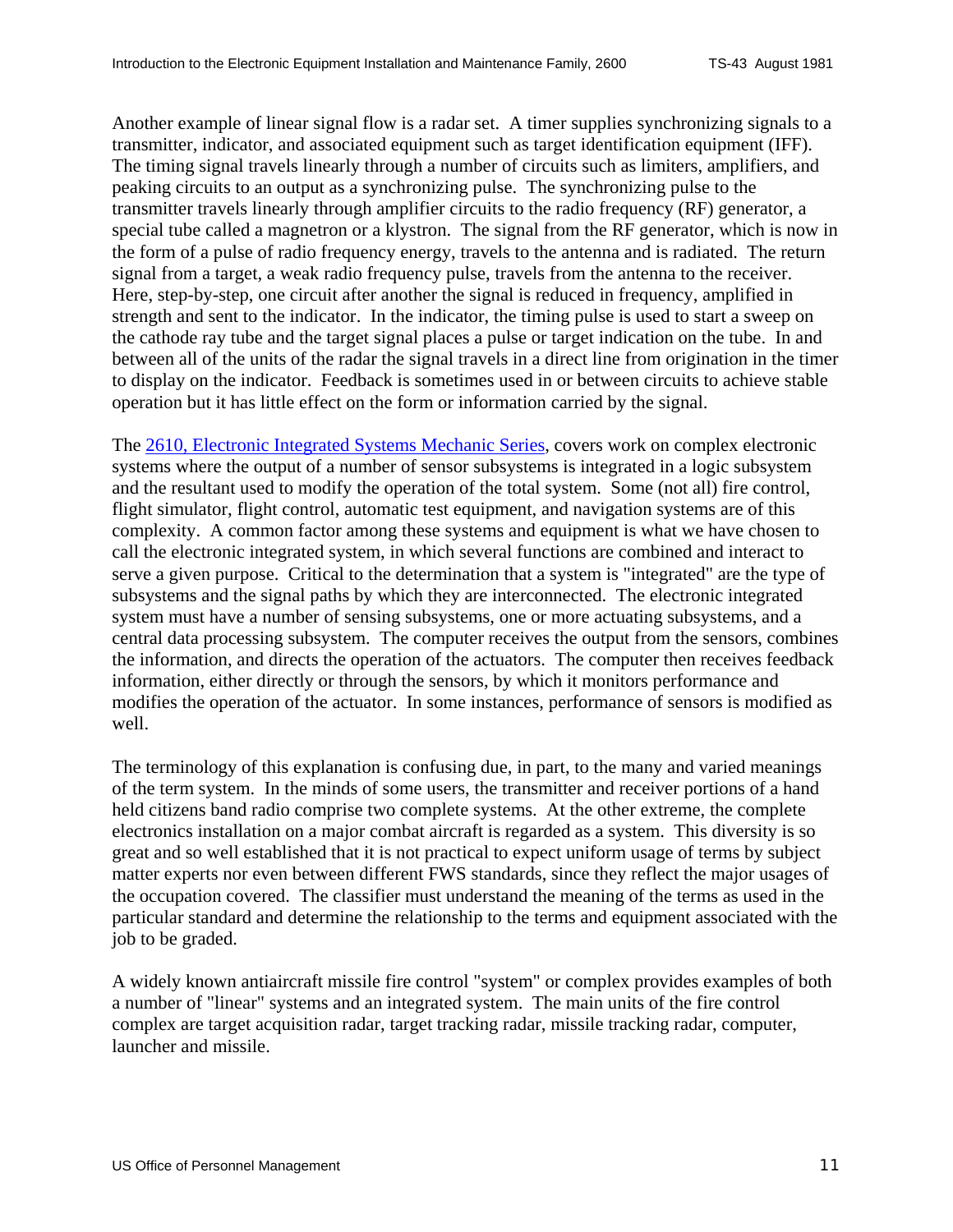Another example of linear signal flow is a radar set. A timer supplies synchronizing signals to a transmitter, indicator, and associated equipment such as target identification equipment (IFF). The timing signal travels linearly through a number of circuits such as limiters, amplifiers, and peaking circuits to an output as a synchronizing pulse. The synchronizing pulse to the transmitter travels linearly through amplifier circuits to the radio frequency (RF) generator, a special tube called a magnetron or a klystron. The signal from the RF generator, which is now in the form of a pulse of radio frequency energy, travels to the antenna and is radiated. The return signal from a target, a weak radio frequency pulse, travels from the antenna to the receiver. Here, step-by-step, one circuit after another the signal is reduced in frequency, amplified in strength and sent to the indicator. In the indicator, the timing pulse is used to start a sweep on the cathode ray tube and the target signal places a pulse or target indication on the tube. In and between all of the units of the radar the signal travels in a direct line from origination in the timer to display on the indicator. Feedback is sometimes used in or between circuits to achieve stable operation but it has little effect on the form or information carried by the signal.

The 2610, Electronic Integrated Systems Mechanic Series, covers work on complex electronic systems where the output of a number of sensor subsystems is integrated in a logic subsystem and the resultant used to modify the operation of the total system. Some (not all) fire control, flight simulator, flight control, automatic test equipment, and navigation systems are of this complexity. A common factor among these systems and equipment is what we have chosen to call the electronic integrated system, in which several functions are combined and interact to serve a given purpose. Critical to the determination that a system is "integrated" are the type of subsystems and the signal paths by which they are interconnected. The electronic integrated system must have a number of sensing subsystems, one or more actuating subsystems, and a central data processing subsystem. The computer receives the output from the sensors, combines the information, and directs the operation of the actuators. The computer then receives feedback information, either directly or through the sensors, by which it monitors performance and modifies the operation of the actuator. In some instances, performance of sensors is modified as well.

The terminology of this explanation is confusing due, in part, to the many and varied meanings of the term system. In the minds of some users, the transmitter and receiver portions of a hand held citizens band radio comprise two complete systems. At the other extreme, the complete electronics installation on a major combat aircraft is regarded as a system. This diversity is so great and so well established that it is not practical to expect uniform usage of terms by subject matter experts nor even between different FWS standards, since they reflect the major usages of the occupation covered. The classifier must understand the meaning of the terms as used in the particular standard and determine the relationship to the terms and equipment associated with the job to be graded.

A widely known antiaircraft missile fire control "system" or complex provides examples of both a number of "linear" systems and an integrated system. The main units of the fire control complex are target acquisition radar, target tracking radar, missile tracking radar, computer, launcher and missile.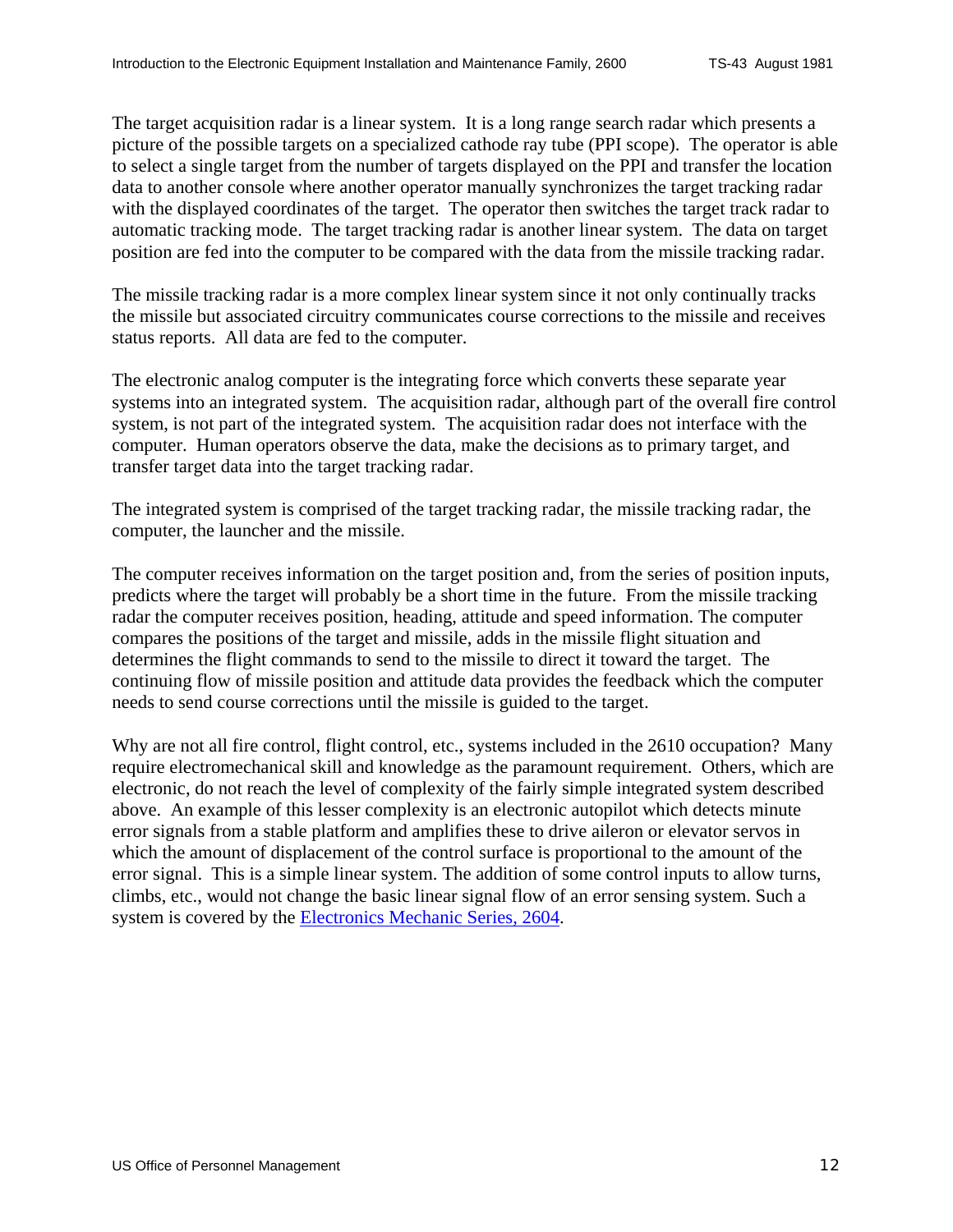The target acquisition radar is a linear system. It is a long range search radar which presents a picture of the possible targets on a specialized cathode ray tube (PPI scope). The operator is able to select a single target from the number of targets displayed on the PPI and transfer the location data to another console where another operator manually synchronizes the target tracking radar with the displayed coordinates of the target. The operator then switches the target track radar to automatic tracking mode. The target tracking radar is another linear system. The data on target position are fed into the computer to be compared with the data from the missile tracking radar.

The missile tracking radar is a more complex linear system since it not only continually tracks the missile but associated circuitry communicates course corrections to the missile and receives status reports. All data are fed to the computer.

The electronic analog computer is the integrating force which converts these separate year systems into an integrated system. The acquisition radar, although part of the overall fire control system, is not part of the integrated system. The acquisition radar does not interface with the computer. Human operators observe the data, make the decisions as to primary target, and transfer target data into the target tracking radar.

The integrated system is comprised of the target tracking radar, the missile tracking radar, the computer, the launcher and the missile.

The computer receives information on the target position and, from the series of position inputs, predicts where the target will probably be a short time in the future. From the missile tracking radar the computer receives position, heading, attitude and speed information. The computer compares the positions of the target and missile, adds in the missile flight situation and determines the flight commands to send to the missile to direct it toward the target. The continuing flow of missile position and attitude data provides the feedback which the computer needs to send course corrections until the missile is guided to the target.

Why are not all fire control, flight control, etc., systems included in the 2610 occupation? Many require electromechanical skill and knowledge as the paramount requirement. Others, which are electronic, do not reach the level of complexity of the fairly simple integrated system described above. An example of this lesser complexity is an electronic autopilot which detects minute error signals from a stable platform and amplifies these to drive aileron or elevator servos in which the amount of displacement of the control surface is proportional to the amount of the error signal. This is a simple linear system. The addition of some control inputs to allow turns, climbs, etc., would not change the basic linear signal flow of an error sensing system. Such a system is covered by the Electronics Mechanic Series, 2604.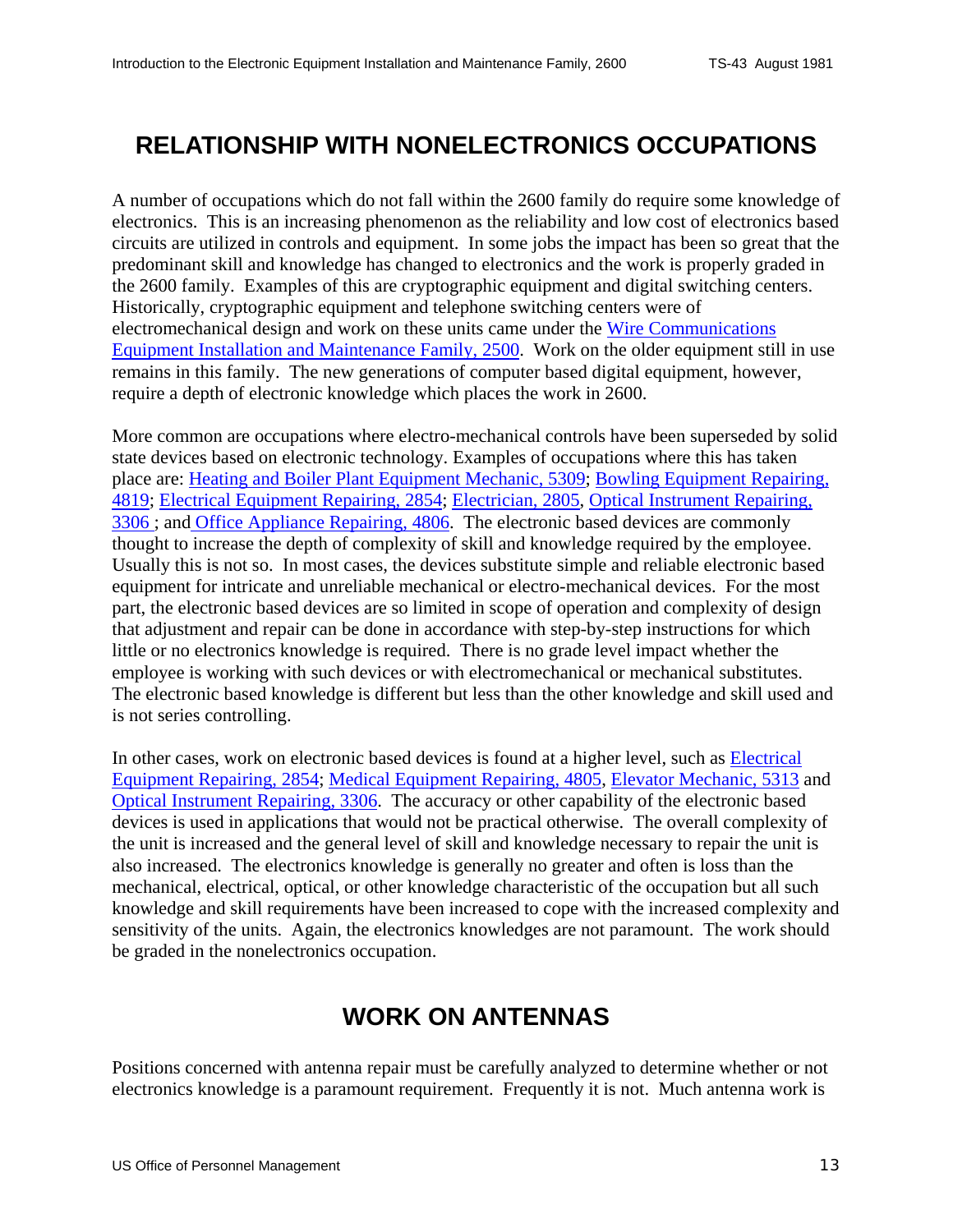# <span id="page-12-0"></span>**RELATIONSHIP WITH NONELECTRONICS OCCUPATIONS**

A number of occupations which do not fall within the 2600 family do require some knowledge of electronics. This is an increasing phenomenon as the reliability and low cost of electronics based circuits are utilized in controls and equipment. In some jobs the impact has been so great that the predominant skill and knowledge has changed to electronics and the work is properly graded in the 2600 family. Examples of this are cryptographic equipment and digital switching centers. Historically, cryptographic equipment and telephone switching centers were of electromechanical design and work on these units came under the Wire Communications Equipment Installation and Maintenance Family, 2500. Work on the older equipment still in use remains in this family. The new generations of computer based digital equipment, however, require a depth of electronic knowledge which places the work in 2600.

More common are occupations where electro-mechanical controls have been superseded by solid state devices based on electronic technology. Examples of occupations where this has taken place are: [Heating and Boiler Plant Equipment Mechanic, 5309](http://www.opm.gov/fedclass/fws5309.pdf); Bowling Equipment Repairing, 4819; Electrical Equipment Repairing, 2854; Electrician, 2805, Optical Instrument Repairing, 3306 ; and Office Appliance Repairing, 4806. The electronic based devices are commonly thought to increase the depth of complexity of skill and knowledge required by the employee. Usually this is not so. In most cases, the devices substitute simple and reliable electronic based equipment for intricate and unreliable mechanical or electro-mechanical devices. For the most part, the electronic based devices are so limited in scope of operation and complexity of design that adjustment and repair can be done in accordance with step-by-step instructions for which little or no electronics knowledge is required. There is no grade level impact whether the employee is working with such devices or with electromechanical or mechanical substitutes. The electronic based knowledge is different but less than the other knowledge and skill used and is not series controlling.

In other cases, work on electronic based devices is found at a higher level, such as Electrical Equipment Repairing, 2854; Medical Equipment Repairing, 4805, Elevator Mechanic, 5313 and Optical Instrument Repairing, 3306. The accuracy or other capability of the electronic based devices is used in applications that would not be practical otherwise. The overall complexity of the unit is increased and the general level of skill and knowledge necessary to repair the unit is also increased. The electronics knowledge is generally no greater and often is loss than the mechanical, electrical, optical, or other knowledge characteristic of the occupation but all such knowledge and skill requirements have been increased to cope with the increased complexity and sensitivity of the units. Again, the electronics knowledges are not paramount. The work should be graded in the nonelectronics occupation.

#### **WORK ON ANTENNAS**

Positions concerned with antenna repair must be carefully analyzed to determine whether or not electronics knowledge is a paramount requirement. Frequently it is not. Much antenna work is